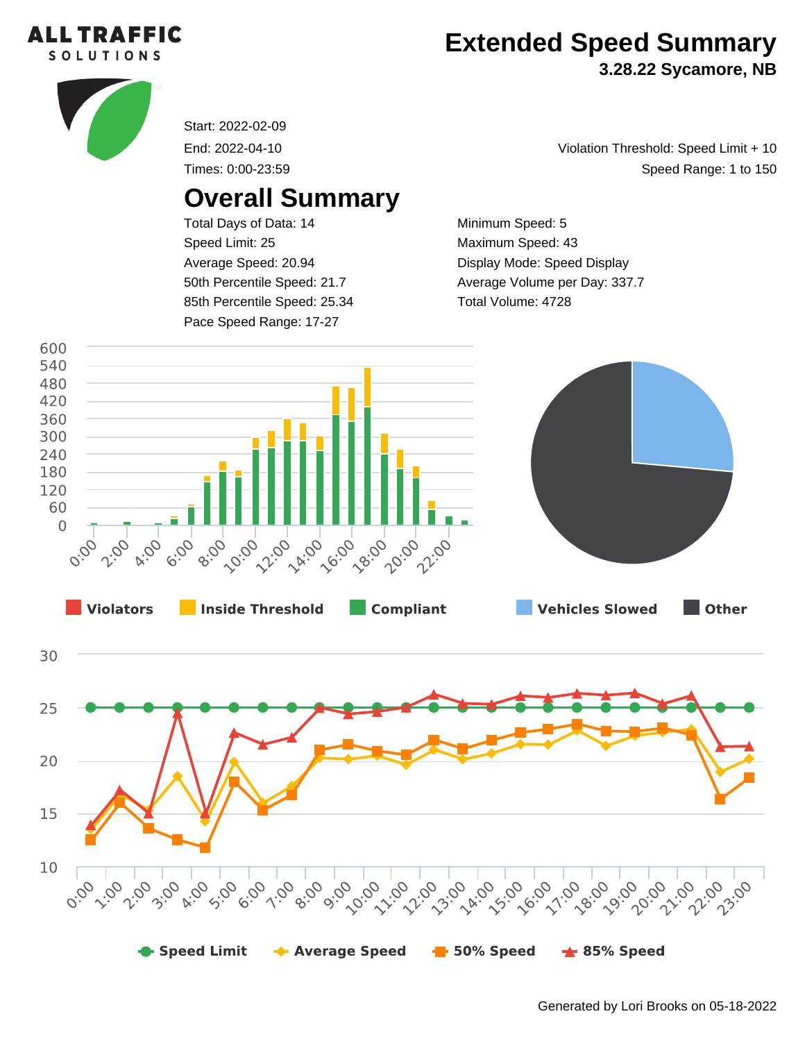

## **Extended Speed Summary**

**3.28.22 Sycamore, NB**



Start: 2022-02-09

End: 2022-04-10

Times: 0:00-23:59

## **Overall Summary**

Total Days of Data: 14 Speed Limit: 25 Average Speed: 20.94 50th Percentile Speed: 21.7 85th Percentile Speed: 25.34 Pace Speed Range: 17-27

Speed Range: 1 to 150 Violation Threshold: Speed Limit + 10

Minimum Speed: 5 Maximum Speed: 43 Display Mode: Speed Display Average Volume per Day: 337.7 Total Volume: 4728